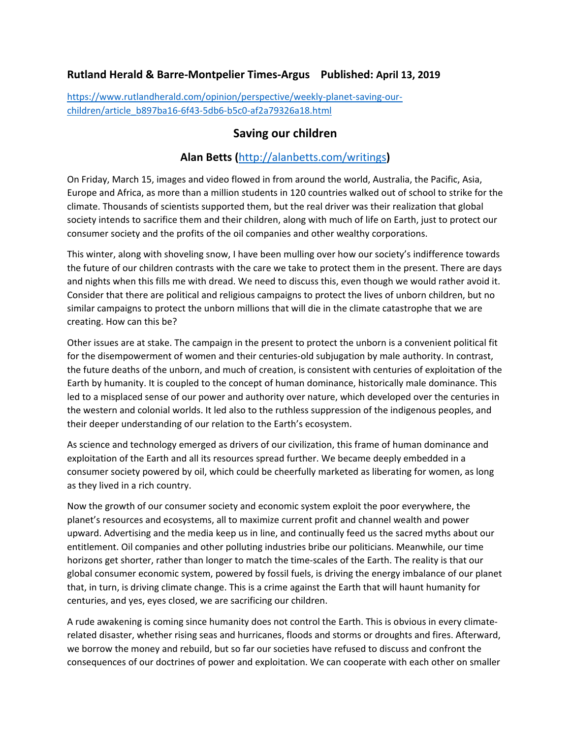## **Rutland Herald & Barre-Montpelier Times-Argus Published: April 13, 2019**

[https://www.rutlandherald.com/opinion/perspective/weekly-planet-saving-our](https://www.rutlandherald.com/opinion/perspective/weekly-planet-saving-our-children/article_b897ba16-6f43-5db6-b5c0-af2a79326a18.html)[children/article\\_b897ba16-6f43-5db6-b5c0-af2a79326a18.html](https://www.rutlandherald.com/opinion/perspective/weekly-planet-saving-our-children/article_b897ba16-6f43-5db6-b5c0-af2a79326a18.html)

## **Saving our children**

## **Alan Betts (**<http://alanbetts.com/writings>**)**

On Friday, March 15, images and video flowed in from around the world, Australia, the Pacific, Asia, Europe and Africa, as more than a million students in 120 countries walked out of school to strike for the climate. Thousands of scientists supported them, but the real driver was their realization that global society intends to sacrifice them and their children, along with much of life on Earth, just to protect our consumer society and the profits of the oil companies and other wealthy corporations.

This winter, along with shoveling snow, I have been mulling over how our society's indifference towards the future of our children contrasts with the care we take to protect them in the present. There are days and nights when this fills me with dread. We need to discuss this, even though we would rather avoid it. Consider that there are political and religious campaigns to protect the lives of unborn children, but no similar campaigns to protect the unborn millions that will die in the climate catastrophe that we are creating. How can this be?

Other issues are at stake. The campaign in the present to protect the unborn is a convenient political fit for the disempowerment of women and their centuries-old subjugation by male authority. In contrast, the future deaths of the unborn, and much of creation, is consistent with centuries of exploitation of the Earth by humanity. It is coupled to the concept of human dominance, historically male dominance. This led to a misplaced sense of our power and authority over nature, which developed over the centuries in the western and colonial worlds. It led also to the ruthless suppression of the indigenous peoples, and their deeper understanding of our relation to the Earth's ecosystem.

As science and technology emerged as drivers of our civilization, this frame of human dominance and exploitation of the Earth and all its resources spread further. We became deeply embedded in a consumer society powered by oil, which could be cheerfully marketed as liberating for women, as long as they lived in a rich country.

Now the growth of our consumer society and economic system exploit the poor everywhere, the planet's resources and ecosystems, all to maximize current profit and channel wealth and power upward. Advertising and the media keep us in line, and continually feed us the sacred myths about our entitlement. Oil companies and other polluting industries bribe our politicians. Meanwhile, our time horizons get shorter, rather than longer to match the time-scales of the Earth. The reality is that our global consumer economic system, powered by fossil fuels, is driving the energy imbalance of our planet that, in turn, is driving climate change. This is a crime against the Earth that will haunt humanity for centuries, and yes, eyes closed, we are sacrificing our children.

A rude awakening is coming since humanity does not control the Earth. This is obvious in every climaterelated disaster, whether rising seas and hurricanes, floods and storms or droughts and fires. Afterward, we borrow the money and rebuild, but so far our societies have refused to discuss and confront the consequences of our doctrines of power and exploitation. We can cooperate with each other on smaller